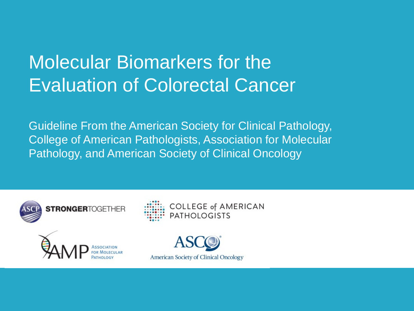### Molecular Biomarkers for the Evaluation of Colorectal Cancer

Guideline From the American Society for Clinical Pathology, College of American Pathologists, Association for Molecular Pathology, and American Society of Clinical Oncology



**COLLEGE of AMERICAN PATHOLOGISTS** 



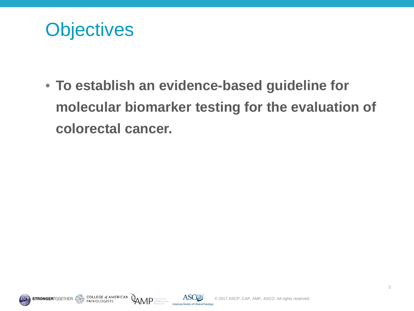

• **To establish an evidence-based guideline for molecular biomarker testing for the evaluation of colorectal cancer.**





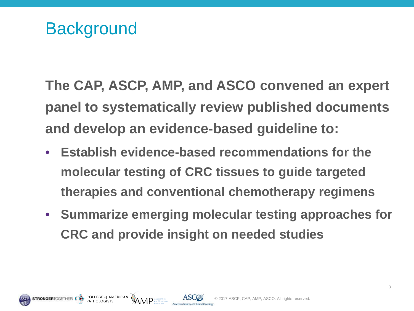COLLEGE of AMERICAN

**AMP** ASSOCIATED

**The CAP, ASCP, AMP, and ASCO convened an expert panel to systematically review published documents and develop an evidence-based guideline to:**

- **Establish evidence-based recommendations for the molecular testing of CRC tissues to guide targeted therapies and conventional chemotherapy regimens**
- **Summarize emerging molecular testing approaches for CRC and provide insight on needed studies**



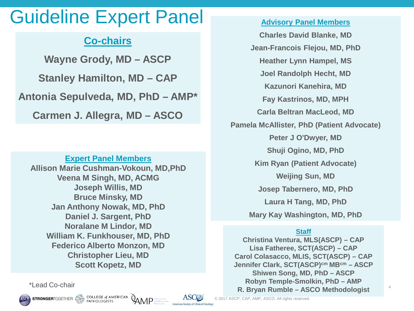#### Guideline Expert Panel

#### **Co-chairs**

**Wayne Grody, MD – ASCP Stanley Hamilton, MD – CAP Antonia Sepulveda, MD, PhD – AMP\* Carmen J. Allegra, MD – ASCO**

#### **Expert Panel Members**

**Allison Marie Cushman-Vokoun, MD,PhD Veena M Singh, MD, ACMG Joseph Willis, MD Bruce Minsky, MD Jan Anthony Nowak, MD, PhD Daniel J. Sargent, PhD Noralane M Lindor, MD William K. Funkhouser, MD, PhD Federico Alberto Monzon, MD Christopher Lieu, MD Scott Kopetz, MD**

COLLEGE of AMERICAN<br>PATHOLOGISTS

**STRONGERTOGETHER** 

**Advisory Panel Members Charles David Blanke, MD Jean-Francois Flejou, MD, PhD Heather Lynn Hampel, MS Joel Randolph Hecht, MD Kazunori Kanehira, MD Fay Kastrinos, MD, MPH Carla Beltran MacLeod, MD Pamela McAllister, PhD (Patient Advocate) Peter J O'Dwyer, MD Shuji Ogino, MD, PhD Kim Ryan (Patient Advocate) Weijing Sun, MD Josep Tabernero, MD, PhD Laura H Tang, MD, PhD**

**Mary Kay Washington, MD, PhD**

#### **Staff**

**Christina Ventura, MLS(ASCP) – CAP Lisa Fatheree, SCT(ASCP) – CAP Carol Colasacco, MLIS, SCT(ASCP) – CAP Jennifer Clark, SCT(ASCP)cm MBcm – ASCP Shiwen Song, MD, PhD – ASCP Robyn Temple-Smolkin, PhD – AMP R. Bryan Rumble – ASCO Methodologist** \*Lead Co-chair

4

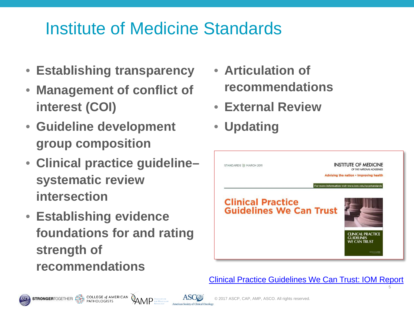#### Institute of Medicine Standards

- **Establishing transparency**
- **Management of conflict of interest (COI)**
- **Guideline development group composition**
- **Clinical practice guideline– systematic review intersection**
- **Establishing evidence foundations for and rating strength of recommendations**

COLLEGE of AMERICAN<br>PATHOLOGISTS

- **Articulation of recommendations**
- **External Review**
- **Updating**



[Clinical Practice Guidelines We Can Trust: IOM Report](http://iom.nationalacademies.org/Reports/2011/Clinical-Practice-Guidelines-We-Can-Trust/Standards.aspx)

5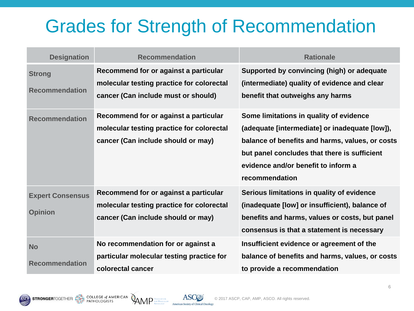#### Grades for Strength of Recommendation

| <b>Designation</b>                        | <b>Recommendation</b>                                                                                                     | <b>Rationale</b>                                                                                                                                                                                                                                      |
|-------------------------------------------|---------------------------------------------------------------------------------------------------------------------------|-------------------------------------------------------------------------------------------------------------------------------------------------------------------------------------------------------------------------------------------------------|
| <b>Strong</b><br><b>Recommendation</b>    | Recommend for or against a particular<br>molecular testing practice for colorectal<br>cancer (Can include must or should) | Supported by convincing (high) or adequate<br>(intermediate) quality of evidence and clear<br>benefit that outweighs any harms                                                                                                                        |
| <b>Recommendation</b>                     | Recommend for or against a particular<br>molecular testing practice for colorectal<br>cancer (Can include should or may)  | Some limitations in quality of evidence<br>(adequate [intermediate] or inadequate [low]),<br>balance of benefits and harms, values, or costs<br>but panel concludes that there is sufficient<br>evidence and/or benefit to inform a<br>recommendation |
| <b>Expert Consensus</b><br><b>Opinion</b> | Recommend for or against a particular<br>molecular testing practice for colorectal<br>cancer (Can include should or may)  | Serious limitations in quality of evidence<br>(inadequate [low] or insufficient), balance of<br>benefits and harms, values or costs, but panel<br>consensus is that a statement is necessary                                                          |
| <b>No</b><br><b>Recommendation</b>        | No recommendation for or against a<br>particular molecular testing practice for<br>colorectal cancer                      | Insufficient evidence or agreement of the<br>balance of benefits and harms, values, or costs<br>to provide a recommendation                                                                                                                           |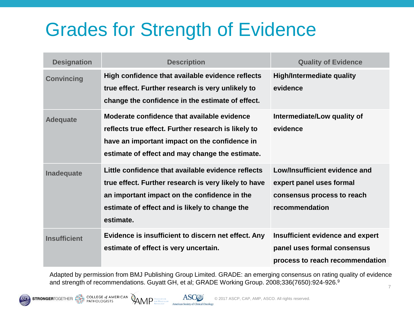# Grades for Strength of Evidence

| <b>Designation</b>  | <b>Description</b>                                                                                                                                                                                                        | <b>Quality of Evidence</b>                                                                                |
|---------------------|---------------------------------------------------------------------------------------------------------------------------------------------------------------------------------------------------------------------------|-----------------------------------------------------------------------------------------------------------|
| <b>Convincing</b>   | High confidence that available evidence reflects<br>true effect. Further research is very unlikely to<br>change the confidence in the estimate of effect.                                                                 | <b>High/Intermediate quality</b><br>evidence                                                              |
| <b>Adequate</b>     | Moderate confidence that available evidence<br>reflects true effect. Further research is likely to<br>have an important impact on the confidence in<br>estimate of effect and may change the estimate.                    | Intermediate/Low quality of<br>evidence                                                                   |
| Inadequate          | Little confidence that available evidence reflects<br>true effect. Further research is very likely to have<br>an important impact on the confidence in the<br>estimate of effect and is likely to change the<br>estimate. | Low/Insufficient evidence and<br>expert panel uses formal<br>consensus process to reach<br>recommendation |
| <b>Insufficient</b> | Evidence is insufficient to discern net effect. Any<br>estimate of effect is very uncertain.                                                                                                                              | Insufficient evidence and expert<br>panel uses formal consensus<br>process to reach recommendation        |

Adapted by permission from BMJ Publishing Group Limited. GRADE: an emerging consensus on rating quality of evidence and strength of recommendations. Guyatt GH, et al; GRADE Working Group. 2008;336(7650):924-926.9

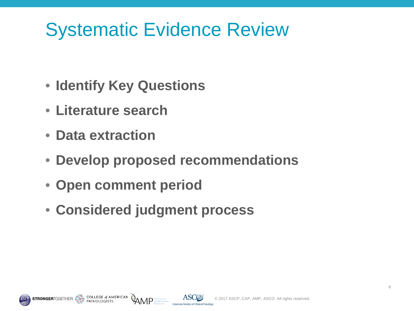# Systematic Evidence Review

- **Identify Key Questions**
- **Literature search**
- **Data extraction**
- **Develop proposed recommendations**
- **Open comment period**
- **Considered judgment process**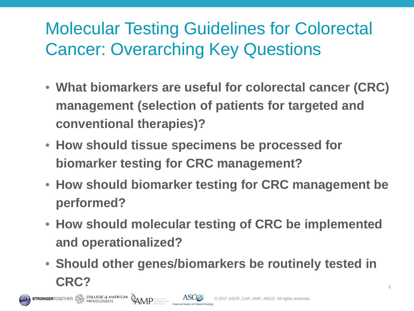#### Molecular Testing Guidelines for Colorectal Cancer: Overarching Key Questions

- **What biomarkers are useful for colorectal cancer (CRC) management (selection of patients for targeted and conventional therapies)?**
- **How should tissue specimens be processed for biomarker testing for CRC management?**
- **How should biomarker testing for CRC management be performed?**
- **How should molecular testing of CRC be implemented and operationalized?**
- **Should other genes/biomarkers be routinely tested in CRC?** All the contract of the contract of the contract of the contract of the contract of the contract of the contract of the contract of the contract of the contract of the contract of the contract of the contract of the

**STRONGER**TOGETHER: ENTERTAINMENT PATHOLOGISTS

AMP<sup>ASSOCIATION</sup>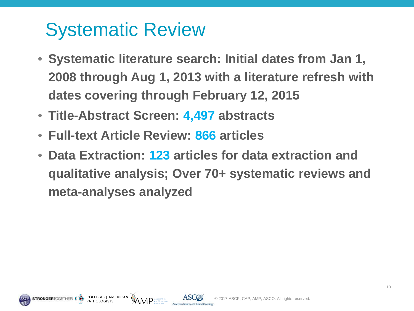# Systematic Review

- **Systematic literature search: Initial dates from Jan 1, 2008 through Aug 1, 2013 with a literature refresh with dates covering through February 12, 2015**
- **Title-Abstract Screen: 4,497 abstracts**
- **Full-text Article Review: 866 articles**
- **Data Extraction: 123 articles for data extraction and qualitative analysis; Over 70+ systematic reviews and meta-analyses analyzed**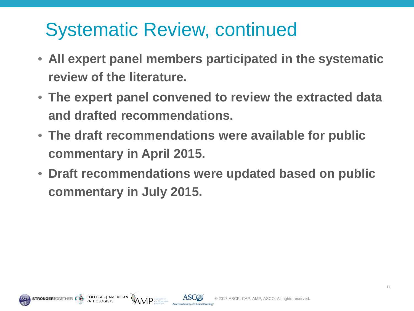# Systematic Review, continued

- **All expert panel members participated in the systematic review of the literature.**
- **The expert panel convened to review the extracted data and drafted recommendations.**
- **The draft recommendations were available for public commentary in April 2015.**
- **Draft recommendations were updated based on public commentary in July 2015.**

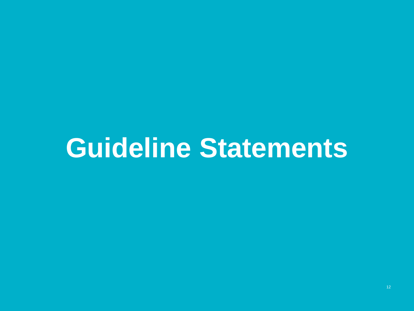# **Guideline Statements**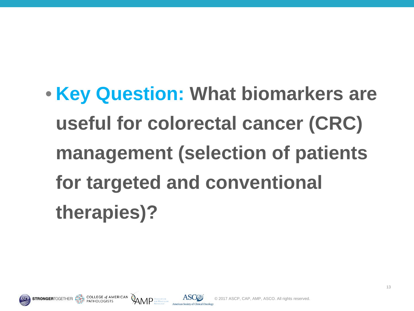• **Key Question: What biomarkers are useful for colorectal cancer (CRC) management (selection of patients for targeted and conventional therapies)?**



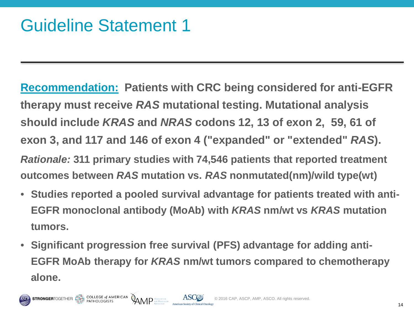**Recommendation: Patients with CRC being considered for anti-EGFR therapy must receive** *RAS* **mutational testing. Mutational analysis should include** *KRAS* **and** *NRAS* **codons 12, 13 of exon 2, 59, 61 of exon 3, and 117 and 146 of exon 4 ("expanded" or "extended"** *RAS***).** *Rationale:* **311 primary studies with 74,546 patients that reported treatment outcomes between** *RAS* **mutation vs.** *RAS* **nonmutated(nm)/wild type(wt)**

- **Studies reported a pooled survival advantage for patients treated with anti-EGFR monoclonal antibody (MoAb) with** *KRAS* **nm/wt vs** *KRAS* **mutation tumors.**
- **Significant progression free survival (PFS) advantage for adding anti-EGFR MoAb therapy for** *KRAS* **nm/wt tumors compared to chemotherapy alone.**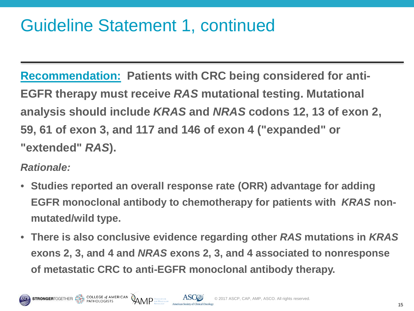#### Guideline Statement 1, continued

**Recommendation: Patients with CRC being considered for anti-EGFR therapy must receive** *RAS* **mutational testing. Mutational analysis should include** *KRAS* **and** *NRAS* **codons 12, 13 of exon 2, 59, 61 of exon 3, and 117 and 146 of exon 4 ("expanded" or "extended"** *RAS***).**

- **Studies reported an overall response rate (ORR) advantage for adding EGFR monoclonal antibody to chemotherapy for patients with** *KRAS* **nonmutated/wild type.**
- **There is also conclusive evidence regarding other** *RAS* **mutations in** *KRAS* **exons 2, 3, and 4 and** *NRAS* **exons 2, 3, and 4 associated to nonresponse of metastatic CRC to anti-EGFR monoclonal antibody therapy.**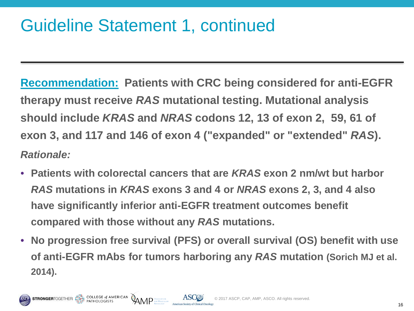#### Guideline Statement 1, continued

 $\mathsf{AND}$  Association

**Recommendation: Patients with CRC being considered for anti-EGFR therapy must receive** *RAS* **mutational testing. Mutational analysis should include** *KRAS* **and** *NRAS* **codons 12, 13 of exon 2, 59, 61 of exon 3, and 117 and 146 of exon 4 ("expanded" or "extended"** *RAS***).** *Rationale:* 

- **Patients with colorectal cancers that are** *KRAS* **exon 2 nm/wt but harbor**  *RAS* **mutations in** *KRAS* **exons 3 and 4 or** *NRAS* **exons 2, 3, and 4 also have significantly inferior anti-EGFR treatment outcomes benefit compared with those without any** *RAS* **mutations.**
- **No progression free survival (PFS) or overall survival (OS) benefit with use of anti-EGFR mAbs for tumors harboring any** *RAS* **mutation (Sorich MJ et al. 2014).**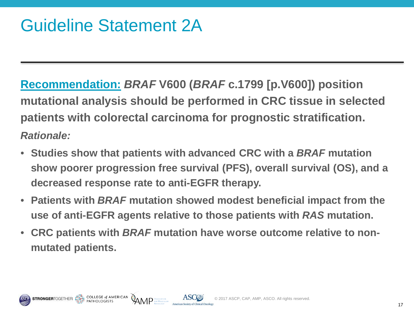**EXECUTE SET A MERICAN**<br>PATHOLOGISTS

**Recommendation:** *BRAF* **V600 (***BRAF* **c.1799 [p.V600]) position mutational analysis should be performed in CRC tissue in selected patients with colorectal carcinoma for prognostic stratification.** *Rationale:* 

- **Studies show that patients with advanced CRC with a** *BRAF* **mutation show poorer progression free survival (PFS), overall survival (OS), and a decreased response rate to anti-EGFR therapy.**
- **Patients with** *BRAF* **mutation showed modest beneficial impact from the use of anti-EGFR agents relative to those patients with** *RAS* **mutation.**
- **CRC patients with** *BRAF* **mutation have worse outcome relative to nonmutated patients.**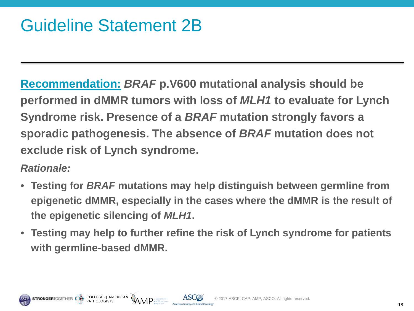**EXECUTE SET A MERICAN**<br>PATHOLOGISTS

**Recommendation:** *BRAF* **p.V600 mutational analysis should be performed in dMMR tumors with loss of** *MLH1* **to evaluate for Lynch Syndrome risk. Presence of a** *BRAF* **mutation strongly favors a sporadic pathogenesis. The absence of** *BRAF* **mutation does not exclude risk of Lynch syndrome.**

- **Testing for** *BRAF* **mutations may help distinguish between germline from epigenetic dMMR, especially in the cases where the dMMR is the result of the epigenetic silencing of** *MLH1***.**
- **Testing may help to further refine the risk of Lynch syndrome for patients with germline-based dMMR.**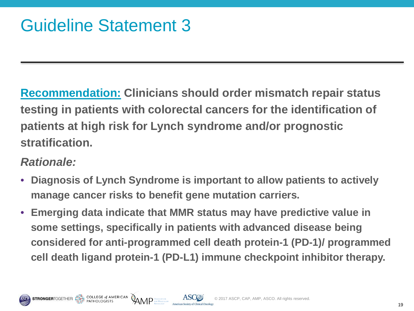**Recommendation: Clinicians should order mismatch repair status testing in patients with colorectal cancers for the identification of patients at high risk for Lynch syndrome and/or prognostic stratification.**

- **Diagnosis of Lynch Syndrome is important to allow patients to actively manage cancer risks to benefit gene mutation carriers.**
- **Emerging data indicate that MMR status may have predictive value in some settings, specifically in patients with advanced disease being considered for anti-programmed cell death protein-1 (PD-1)/ programmed cell death ligand protein-1 (PD-L1) immune checkpoint inhibitor therapy.**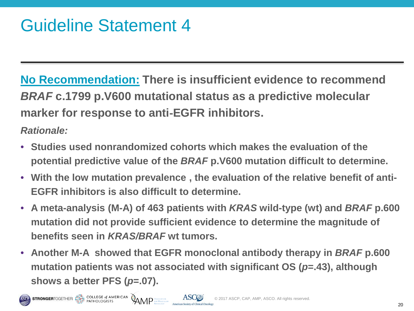**STRONGERTOGETHER THE PATHOLOGISTS AND AND ASSOCIATION** 

**No Recommendation: There is insufficient evidence to recommend** *BRAF* **c.1799 p.V600 mutational status as a predictive molecular marker for response to anti**‐**EGFR inhibitors.**

- **Studies used nonrandomized cohorts which makes the evaluation of the potential predictive value of the** *BRAF* **p.V600 mutation difficult to determine.**
- **With the low mutation prevalence , the evaluation of the relative benefit of anti-EGFR inhibitors is also difficult to determine.**
- **A meta-analysis (M-A) of 463 patients with** *KRAS* **wild-type (wt) and** *BRAF* **p.600 mutation did not provide sufficient evidence to determine the magnitude of benefits seen in** *KRAS/BRAF* **wt tumors.**
- **Another M-A showed that EGFR monoclonal antibody therapy in** *BRAF* **p.600 mutation patients was not associated with significant OS (***p***=.43), although shows a better PFS (***p***=.07).**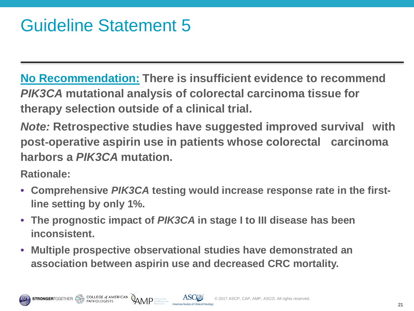COLLEGE of AMERICAN

**No Recommendation: There is insufficient evidence to recommend**  *PIK3CA* **mutational analysis of colorectal carcinoma tissue for therapy selection outside of a clinical trial.** 

*Note:* **Retrospective studies have suggested improved survival with post**‐**operative aspirin use in patients whose colorectal carcinoma harbors a** *PIK3CA* **mutation.**

- **Comprehensive** *PIK3CA* **testing would increase response rate in the firstline setting by only 1%.**
- **The prognostic impact of** *PIK3CA* **in stage I to III disease has been inconsistent.**
- **Multiple prospective observational studies have demonstrated an association between aspirin use and decreased CRC mortality.**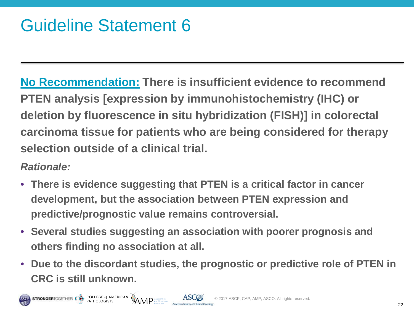**COLLEGE of AMERICAN** 

**No Recommendation: There is insufficient evidence to recommend PTEN analysis [expression by immunohistochemistry (IHC) or deletion by fluorescence in situ hybridization (FISH)] in colorectal carcinoma tissue for patients who are being considered for therapy selection outside of a clinical trial.**

- **There is evidence suggesting that PTEN is a critical factor in cancer development, but the association between PTEN expression and predictive/prognostic value remains controversial.**
- **Several studies suggesting an association with poorer prognosis and others finding no association at all.**
- **Due to the discordant studies, the prognostic or predictive role of PTEN in CRC is still unknown.**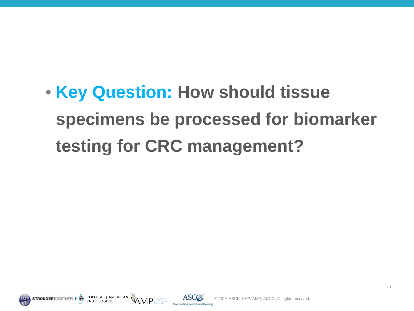• **Key Question: How should tissue specimens be processed for biomarker testing for CRC management?**





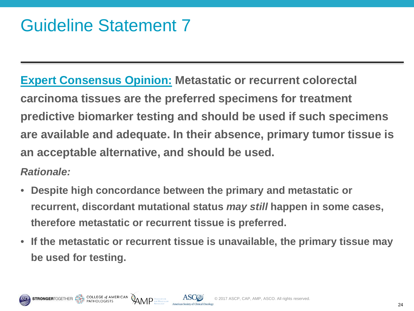#### Guideline Statement 7

**Expert Consensus Opinion: Metastatic or recurrent colorectal carcinoma tissues are the preferred specimens for treatment predictive biomarker testing and should be used if such specimens are available and adequate. In their absence, primary tumor tissue is an acceptable alternative, and should be used.**

- **Despite high concordance between the primary and metastatic or recurrent, discordant mutational status** *may still* **happen in some cases, therefore metastatic or recurrent tissue is preferred.**
- **If the metastatic or recurrent tissue is unavailable, the primary tissue may be used for testing.**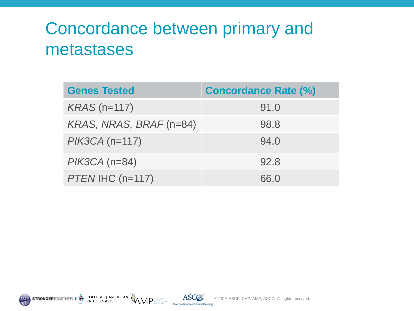#### Concordance between primary and metastases

| <b>Genes Tested</b>     | <b>Concordance Rate (%)</b> |  |
|-------------------------|-----------------------------|--|
| $KRAS$ (n=117)          | 91.0                        |  |
| KRAS, NRAS, BRAF (n=84) | 98.8                        |  |
| $PIK3CA (n=117)$        | 94.0                        |  |
| $PIK3CA$ (n=84)         | 92.8                        |  |
| PTEN IHC (n=117)        | 66.0                        |  |

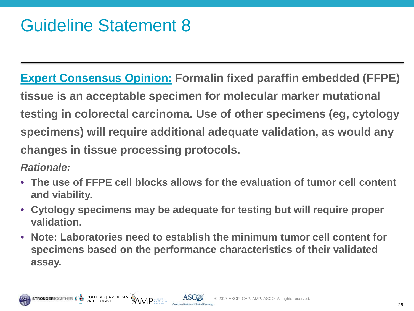**Expert Consensus Opinion: Formalin fixed paraffin embedded (FFPE) tissue is an acceptable specimen for molecular marker mutational testing in colorectal carcinoma. Use of other specimens (eg, cytology specimens) will require additional adequate validation, as would any changes in tissue processing protocols.**

- **The use of FFPE cell blocks allows for the evaluation of tumor cell content and viability.**
- **Cytology specimens may be adequate for testing but will require proper validation.**
- **Note: Laboratories need to establish the minimum tumor cell content for specimens based on the performance characteristics of their validated assay.**

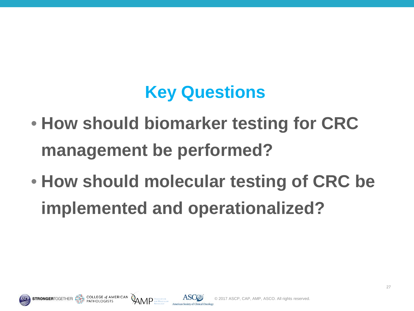#### **Key Questions**

- **How should biomarker testing for CRC management be performed?**
- **How should molecular testing of CRC be implemented and operationalized?**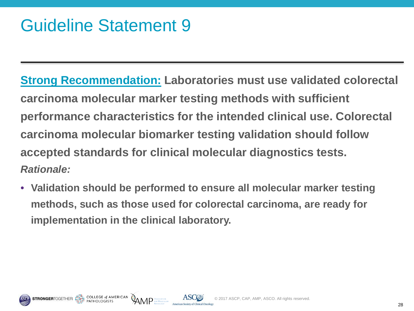#### Guideline Statement 9

**Strong Recommendation: Laboratories must use validated colorectal carcinoma molecular marker testing methods with sufficient performance characteristics for the intended clinical use. Colorectal carcinoma molecular biomarker testing validation should follow accepted standards for clinical molecular diagnostics tests.** *Rationale:* 

• **Validation should be performed to ensure all molecular marker testing methods, such as those used for colorectal carcinoma, are ready for implementation in the clinical laboratory.** 

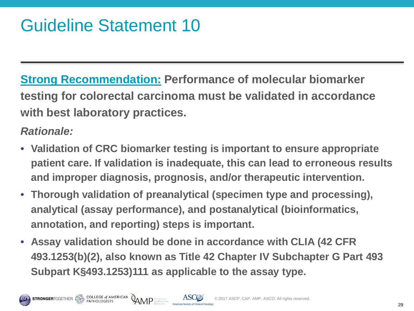#### Guideline Statement 10

**Strong Recommendation: Performance of molecular biomarker testing for colorectal carcinoma must be validated in accordance with best laboratory practices.**

- **Validation of CRC biomarker testing is important to ensure appropriate patient care. If validation is inadequate, this can lead to erroneous results and improper diagnosis, prognosis, and/or therapeutic intervention.**
- **Thorough validation of preanalytical (specimen type and processing), analytical (assay performance), and postanalytical (bioinformatics, annotation, and reporting) steps is important.**
- **Assay validation should be done in accordance with CLIA (42 CFR 493.1253(b)(2), also known as Title 42 Chapter IV Subchapter G Part 493 Subpart K§493.1253)111 as applicable to the assay type.**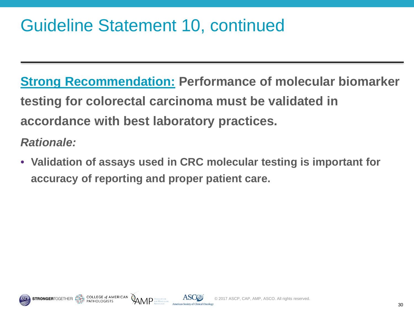#### Guideline Statement 10, continued

**Strong Recommendation: Performance of molecular biomarker testing for colorectal carcinoma must be validated in accordance with best laboratory practices.** *Rationale:*

• **Validation of assays used in CRC molecular testing is important for accuracy of reporting and proper patient care.**

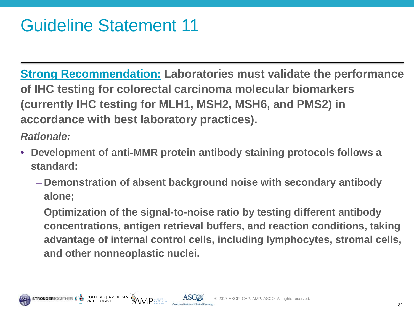**Strong Recommendation: Laboratories must validate the performance of IHC testing for colorectal carcinoma molecular biomarkers (currently IHC testing for MLH1, MSH2, MSH6, and PMS2) in accordance with best laboratory practices).**

- **Development of anti-MMR protein antibody staining protocols follows a standard:**
	- **Demonstration of absent background noise with secondary antibody alone;**
	- **Optimization of the signal-to-noise ratio by testing different antibody concentrations, antigen retrieval buffers, and reaction conditions, taking advantage of internal control cells, including lymphocytes, stromal cells, and other nonneoplastic nuclei.**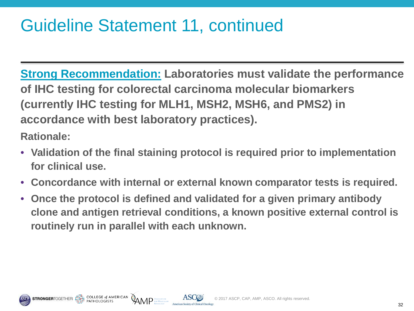#### Guideline Statement 11, continued

**Strong Recommendation: Laboratories must validate the performance of IHC testing for colorectal carcinoma molecular biomarkers (currently IHC testing for MLH1, MSH2, MSH6, and PMS2) in accordance with best laboratory practices).**

**Rationale:**

- **Validation of the final staining protocol is required prior to implementation for clinical use.**
- **Concordance with internal or external known comparator tests is required.**
- **Once the protocol is defined and validated for a given primary antibody clone and antigen retrieval conditions, a known positive external control is routinely run in parallel with each unknown.**



COLLEGE of AMERICAN

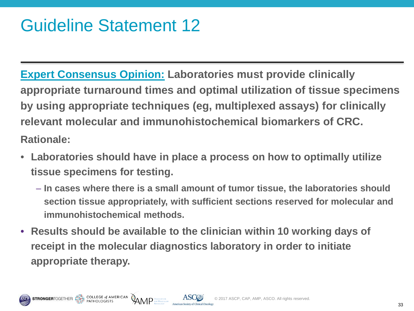**Expert Consensus Opinion: Laboratories must provide clinically appropriate turnaround times and optimal utilization of tissue specimens by using appropriate techniques (eg, multiplexed assays) for clinically relevant molecular and immunohistochemical biomarkers of CRC. Rationale:**

- **Laboratories should have in place a process on how to optimally utilize tissue specimens for testing.**
	- **In cases where there is a small amount of tumor tissue, the laboratories should section tissue appropriately, with sufficient sections reserved for molecular and immunohistochemical methods.**
- **Results should be available to the clinician within 10 working days of receipt in the molecular diagnostics laboratory in order to initiate appropriate therapy.**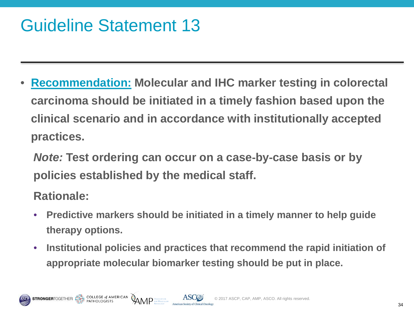#### Guideline Statement 13

• **Recommendation: Molecular and IHC marker testing in colorectal carcinoma should be initiated in a timely fashion based upon the clinical scenario and in accordance with institutionally accepted practices.** 

*Note:* **Test ordering can occur on a case**‐**by**‐**case basis or by policies established by the medical staff.**

- **Predictive markers should be initiated in a timely manner to help guide therapy options.**
- **Institutional policies and practices that recommend the rapid initiation of appropriate molecular biomarker testing should be put in place.**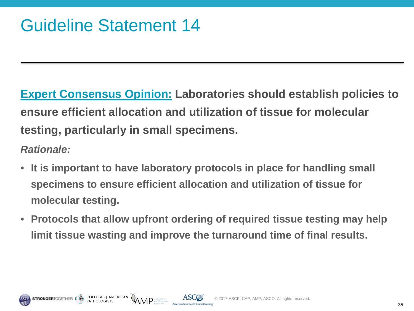**Expert Consensus Opinion: Laboratories should establish policies to ensure efficient allocation and utilization of tissue for molecular testing, particularly in small specimens.**

- *Rationale:*
- **It is important to have laboratory protocols in place for handling small specimens to ensure efficient allocation and utilization of tissue for molecular testing.**
- **Protocols that allow upfront ordering of required tissue testing may help limit tissue wasting and improve the turnaround time of final results.**



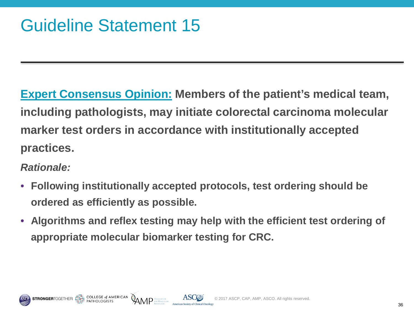**Expert Consensus Opinion: Members of the patient's medical team, including pathologists, may initiate colorectal carcinoma molecular marker test orders in accordance with institutionally accepted practices.**

*Rationale:* 

- **Following institutionally accepted protocols, test ordering should be ordered as efficiently as possible.**
- **Algorithms and reflex testing may help with the efficient test ordering of appropriate molecular biomarker testing for CRC.**



**AMP**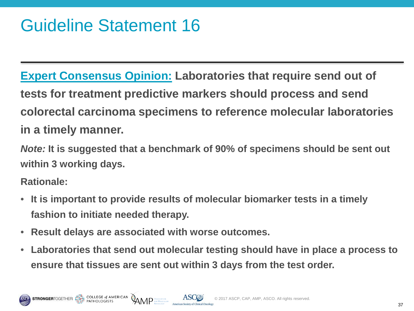**Expert Consensus Opinion: Laboratories that require send out of tests for treatment predictive markers should process and send colorectal carcinoma specimens to reference molecular laboratories in a timely manner.** 

*Note:* **It is suggested that a benchmark of 90% of specimens should be sent out within 3 working days.**

- **It is important to provide results of molecular biomarker tests in a timely fashion to initiate needed therapy.**
- **Result delays are associated with worse outcomes.**
- **Laboratories that send out molecular testing should have in place a process to ensure that tissues are sent out within 3 days from the test order.**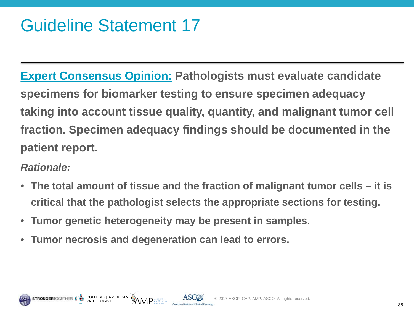#### Guideline Statement 17

**Expert Consensus Opinion: Pathologists must evaluate candidate specimens for biomarker testing to ensure specimen adequacy taking into account tissue quality, quantity, and malignant tumor cell fraction. Specimen adequacy findings should be documented in the patient report.**

- **The total amount of tissue and the fraction of malignant tumor cells – it is critical that the pathologist selects the appropriate sections for testing.**
- **Tumor genetic heterogeneity may be present in samples.**
- **Tumor necrosis and degeneration can lead to errors.**

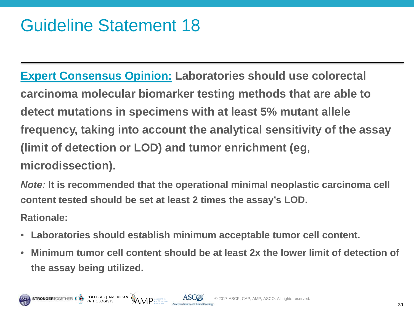#### Guideline Statement 18

**Expert Consensus Opinion: Laboratories should use colorectal carcinoma molecular biomarker testing methods that are able to detect mutations in specimens with at least 5% mutant allele frequency, taking into account the analytical sensitivity of the assay (limit of detection or LOD) and tumor enrichment (eg, microdissection).** 

*Note:* **It is recommended that the operational minimal neoplastic carcinoma cell content tested should be set at least 2 times the assay's LOD.**

- **Laboratories should establish minimum acceptable tumor cell content.**
- **Minimum tumor cell content should be at least 2x the lower limit of detection of the assay being utilized.**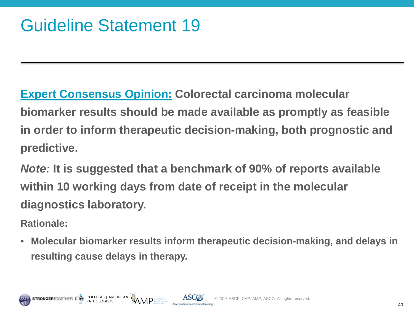**Expert Consensus Opinion: Colorectal carcinoma molecular biomarker results should be made available as promptly as feasible in order to inform therapeutic decision-making, both prognostic and predictive.** 

*Note:* **It is suggested that a benchmark of 90% of reports available within 10 working days from date of receipt in the molecular diagnostics laboratory.**

**Rationale:**

• **Molecular biomarker results inform therapeutic decision-making, and delays in resulting cause delays in therapy.**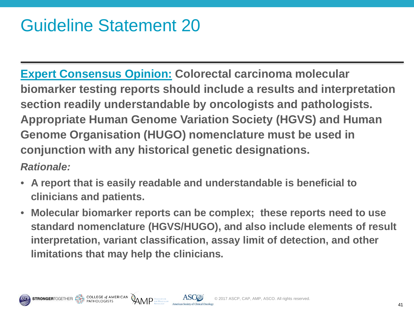#### Guideline Statement 20

**Expert Consensus Opinion: Colorectal carcinoma molecular biomarker testing reports should include a results and interpretation section readily understandable by oncologists and pathologists. Appropriate Human Genome Variation Society (HGVS) and Human Genome Organisation (HUGO) nomenclature must be used in conjunction with any historical genetic designations.** 

- **A report that is easily readable and understandable is beneficial to clinicians and patients.**
- **Molecular biomarker reports can be complex; these reports need to use standard nomenclature (HGVS/HUGO), and also include elements of result interpretation, variant classification, assay limit of detection, and other limitations that may help the clinicians.**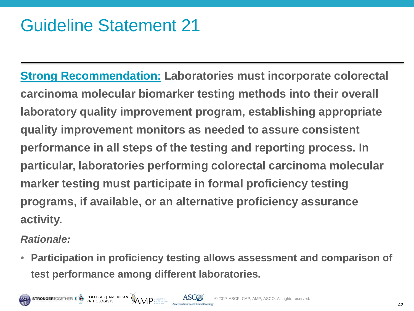#### Guideline Statement 21

**Strong Recommendation: Laboratories must incorporate colorectal carcinoma molecular biomarker testing methods into their overall laboratory quality improvement program, establishing appropriate quality improvement monitors as needed to assure consistent performance in all steps of the testing and reporting process. In particular, laboratories performing colorectal carcinoma molecular marker testing must participate in formal proficiency testing programs, if available, or an alternative proficiency assurance activity.** 

*Rationale:*

• **Participation in proficiency testing allows assessment and comparison of test performance among different laboratories.**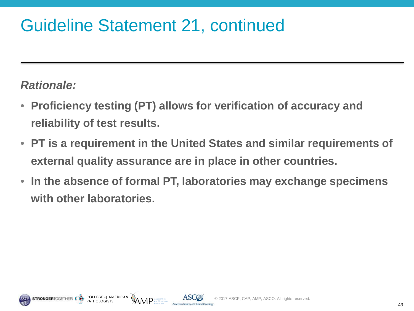#### Guideline Statement 21, continued

- **Proficiency testing (PT) allows for verification of accuracy and reliability of test results.**
- **PT is a requirement in the United States and similar requirements of external quality assurance are in place in other countries.**
- **In the absence of formal PT, laboratories may exchange specimens with other laboratories.**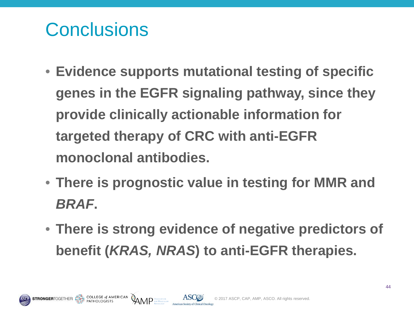## **Conclusions**

COLLEGE of AMERICAN AMP ASSOCIATION

- **Evidence supports mutational testing of specific genes in the EGFR signaling pathway, since they provide clinically actionable information for targeted therapy of CRC with anti-EGFR monoclonal antibodies.**
- **There is prognostic value in testing for MMR and**  *BRAF***.**
- **There is strong evidence of negative predictors of benefit (***KRAS, NRAS***) to anti-EGFR therapies.**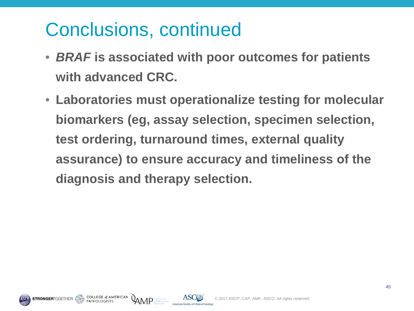### Conclusions, continued

- *BRAF* **is associated with poor outcomes for patients with advanced CRC.**
- **Laboratories must operationalize testing for molecular biomarkers (eg, assay selection, specimen selection, test ordering, turnaround times, external quality assurance) to ensure accuracy and timeliness of the diagnosis and therapy selection.**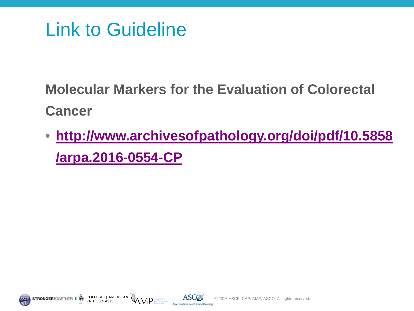#### Link to Guideline

**Molecular Markers for the Evaluation of Colorectal Cancer**

• **[http://www.archivesofpathology.org/doi/pdf/10.5858](http://www.archivesofpathology.org/doi/pdf/10.5858/arpa.2016-0554-CP) [/arpa.2016-0554-CP](http://www.archivesofpathology.org/doi/pdf/10.5858/arpa.2016-0554-CP)**